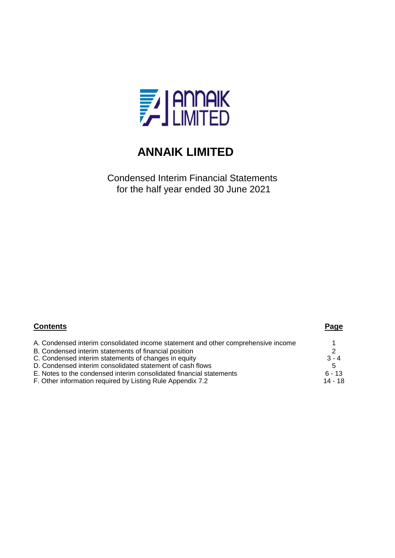

Condensed Interim Financial Statements for the half year ended 30 June 2021

| <b>Contents</b>                                                                   | Page          |
|-----------------------------------------------------------------------------------|---------------|
| A. Condensed interim consolidated income statement and other comprehensive income |               |
| B. Condensed interim statements of financial position                             | $\mathcal{P}$ |
| C. Condensed interim statements of changes in equity                              | $3 - 4$       |
| D. Condensed interim consolidated statement of cash flows                         | -5            |
| E. Notes to the condensed interim consolidated financial statements               | $6 - 13$      |
| F. Other information required by Listing Rule Appendix 7.2                        | 14 - 18       |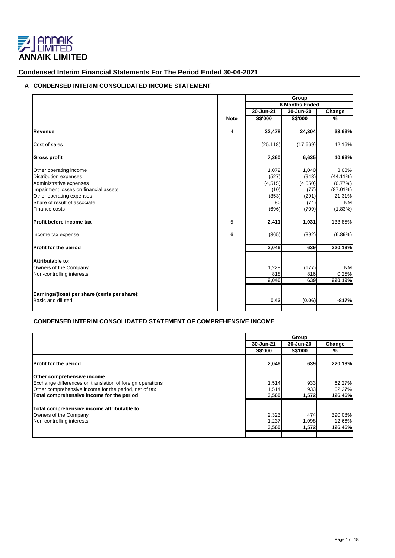

## **Condensed Interim Financial Statements For The Period Ended 30-06-2021**

## **A CONDENSED INTERIM CONSOLIDATED INCOME STATEMENT**

|                                              |                |           | Group                 |             |
|----------------------------------------------|----------------|-----------|-----------------------|-------------|
|                                              |                |           | <b>6 Months Ended</b> |             |
|                                              |                | 30-Jun-21 | 30-Jun-20             | Change      |
|                                              | <b>Note</b>    | S\$'000   | S\$'000               | %           |
|                                              |                |           |                       |             |
| Revenue                                      | $\overline{4}$ | 32,478    | 24,304                | 33.63%      |
| Cost of sales                                |                | (25, 118) | (17,669)              | 42.16%      |
| <b>Gross profit</b>                          |                | 7,360     | 6,635                 | 10.93%      |
| Other operating income                       |                | 1,072     | 1,040                 | 3.08%       |
| Distribution expenses                        |                | (527)     | (943)                 | $(44.11\%)$ |
| Administrative expenses                      |                | (4, 515)  | (4,550)               | $(0.77\%)$  |
| Impairment losses on financial assets        |                | (10)      | (77)                  | $(87.01\%)$ |
| Other operating expenses                     |                | (353)     | (291)                 | 21.31%      |
| Share of result of associate                 |                | 80        | (74)                  | <b>NM</b>   |
| Finance costs                                |                | (696)     | (709)                 | (1.83%)     |
| Profit before income tax                     | 5              | 2,411     | 1,031                 | 133.85%     |
| Income tax expense                           | 6              | (365)     | (392)                 | (6.89%)     |
| <b>Profit for the period</b>                 |                | 2,046     | 639                   | 220.19%     |
| Attributable to:                             |                |           |                       |             |
| Owners of the Company                        |                | 1,228     | (177)                 | <b>NM</b>   |
| Non-controlling interests                    |                | 818       | 816                   | 0.25%       |
|                                              |                | 2,046     | 639                   | 220.19%     |
|                                              |                |           |                       |             |
| Earnings/(loss) per share (cents per share): |                |           |                       |             |
| Basic and diluted                            |                | 0.43      | (0.06)                | $-817%$     |
|                                              |                |           |                       |             |

## **CONDENSED INTERIM CONSOLIDATED STATEMENT OF COMPREHENSIVE INCOME**

|                                                           |                | Group          |         |  |  |
|-----------------------------------------------------------|----------------|----------------|---------|--|--|
|                                                           | 30-Jun-21      | 30-Jun-20      | Change  |  |  |
|                                                           | <b>S\$'000</b> | <b>S\$'000</b> | %       |  |  |
| <b>Profit for the period</b>                              | 2,046          | 639            | 220.19% |  |  |
| Other comprehensive income                                |                |                |         |  |  |
| Exchange differences on translation of foreign operations | 1,514          | 933            | 62.27%  |  |  |
| Other comprehensive income for the period, net of tax     | 1,514          | 933            | 62.27%  |  |  |
| Total comprehensive income for the period                 | 3,560          | 1,572          | 126.46% |  |  |
| Total comprehensive income attributable to:               |                |                |         |  |  |
| Owners of the Company                                     | 2,323          | 474            | 390.08% |  |  |
| Non-controlling interests                                 | 1,237          | 1,098          | 12.66%  |  |  |
|                                                           | 3,560          | 1,572          | 126.46% |  |  |
|                                                           |                |                |         |  |  |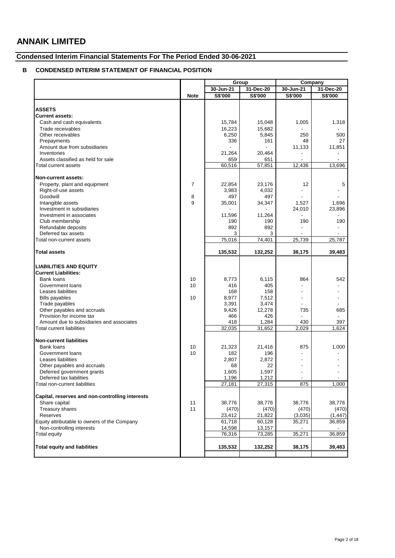## **Condensed Interim Financial Statements For The Period Ended 30-06-2021**

## **B CONDENSED INTERIM STATEMENT OF FINANCIAL POSITION**

|                                                           |                | Group           |                 |                                 | Company                           |  |
|-----------------------------------------------------------|----------------|-----------------|-----------------|---------------------------------|-----------------------------------|--|
|                                                           |                | 30-Jun-21       | 31-Dec-20       | 30-Jun-21                       | 31-Dec-20                         |  |
|                                                           | <b>Note</b>    | S\$'000         | S\$'000         | S\$'000                         | S\$'000                           |  |
|                                                           |                |                 |                 |                                 |                                   |  |
| <b>ASSETS</b>                                             |                |                 |                 |                                 |                                   |  |
| <b>Current assets:</b>                                    |                |                 |                 |                                 |                                   |  |
| Cash and cash equivalents                                 |                | 15,784          | 15,048          | 1,005                           | 1,318                             |  |
| Trade receivables                                         |                | 16,223          | 15,682          |                                 |                                   |  |
| Other receivables                                         |                | 6,250           | 5,845           | 250                             | 500                               |  |
| Prepayments                                               |                | 336             | 161             | 48                              | 27                                |  |
| Amount due from subsidiaries<br>Inventories               |                |                 | 20,464          | 11,133                          | 11,851                            |  |
| Assets classified as held for sale                        |                | 21,264          |                 |                                 |                                   |  |
| Total current assets                                      |                | 659<br>60,516   | 651<br>57,851   | 12,436                          | 13,696                            |  |
|                                                           |                |                 |                 |                                 |                                   |  |
| Non-current assets:                                       |                |                 |                 |                                 |                                   |  |
| Property, plant and equipment                             | $\overline{7}$ | 22,854          | 23,176          | 12                              | 5                                 |  |
| Right-of-use assets                                       |                | 3,983           | 4,032           |                                 |                                   |  |
| Goodwill                                                  | 8              | 497             | 497             |                                 |                                   |  |
| Intangible assets                                         | 9              | 35,001          | 34,347          | 1,527                           | 1,696                             |  |
| Investment in subsidiaries                                |                |                 |                 | 24,010                          | 23,896                            |  |
| Investment in associates                                  |                | 11,596          | 11,264          |                                 |                                   |  |
| Club membership                                           |                | 190             | 190             | 190                             | 190                               |  |
| Refundable deposits                                       |                | 892             | 892             |                                 |                                   |  |
| Deferred tax assets                                       |                | 3               | 3               |                                 |                                   |  |
| Total non-current assets                                  |                | 75,016          | 74.401          | 25,739                          | 25,787                            |  |
|                                                           |                | 135,532         | 132,252         | 38,175                          |                                   |  |
| <b>Total assets</b>                                       |                |                 |                 |                                 | 39,483                            |  |
| <b>LIABILITIES AND EQUITY</b>                             |                |                 |                 |                                 |                                   |  |
| <b>Current Liabilities:</b>                               |                |                 |                 |                                 |                                   |  |
| Bank loans                                                | 10             | 8,773           | 6,115           | 864                             | 542                               |  |
| Government loans                                          | 10             | 416             | 405             |                                 |                                   |  |
| Leases liabilities                                        |                | 168             | 158             |                                 |                                   |  |
| <b>Bills payables</b>                                     | 10             | 8,977           | 7,512           |                                 |                                   |  |
| Trade payables                                            |                | 3,391           | 3,474           |                                 |                                   |  |
| Other payables and accruals                               |                | 9,426           | 12,278          | 735                             | 685                               |  |
| Provision for income tax                                  |                | 466             | 426             |                                 |                                   |  |
| Amount due to subsidiaries and associates                 |                | 418             | 1,284           | 430                             | 397                               |  |
| Total current liabilities                                 |                | 32,035          | 31,652          | 2,029                           | 1,624                             |  |
|                                                           |                |                 |                 |                                 |                                   |  |
| <b>Non-current liabilities</b>                            |                |                 |                 |                                 |                                   |  |
| <b>Bank loans</b>                                         | 10             | 21,323          | 21,416          | 875                             | 1,000                             |  |
| Government loans                                          | 10             | 182             | 196             |                                 |                                   |  |
| Leases liabilities                                        |                | 2,807           | 2,872           |                                 |                                   |  |
| Other payables and accruals                               |                | 68              | 22              |                                 |                                   |  |
| Deferred government grants                                |                | 1,605           | 1,597           |                                 |                                   |  |
| Deferred tax liabilities<br>Total non-current liabilities |                | 1,196<br>27,181 | 1,212<br>27,315 | $\overline{\phantom{a}}$<br>875 | $\overline{\phantom{a}}$<br>1,000 |  |
|                                                           |                |                 |                 |                                 |                                   |  |
| Capital, reserves and non-controlling interests           |                |                 |                 |                                 |                                   |  |
| Share capital                                             | 11             | 38,776          | 38,776          | 38,776                          | 38,776                            |  |
| Treasury shares                                           | 11             | (470)           | (470)           | (470)                           | (470)                             |  |
| Reserves                                                  |                | 23,412          | 21,822          | (3,035)                         | (1, 447)                          |  |
| Equity attributable to owners of the Company              |                | 61,718          | 60,128          | 35,271                          | 36,859                            |  |
| Non-controlling interests                                 |                | 14,598          | 13,157          |                                 |                                   |  |
| Total equity                                              |                | 76,316          | 73,285          | 35,271                          | 36,859                            |  |
| <b>Total equity and liabilities</b>                       |                | 135,532         | 132,252         | 38,175                          | 39,483                            |  |
|                                                           |                |                 |                 |                                 |                                   |  |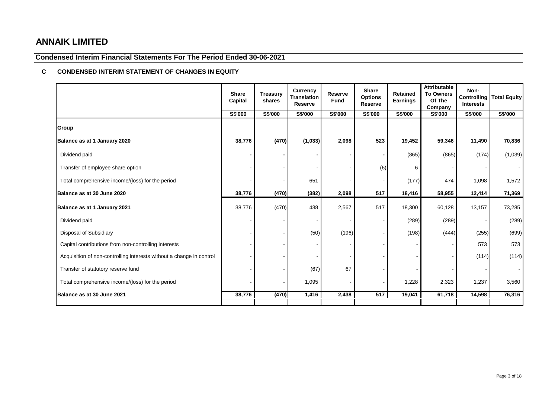## **Condensed Interim Financial Statements For The Period Ended 30-06-2021**

## **C CONDENSED INTERIM STATEMENT OF CHANGES IN EQUITY**

|                                                                      | <b>Share</b><br>Capital | <b>Treasury</b><br>shares | <b>Currency</b><br><b>Translation</b><br>Reserve | Reserve<br>Fund | <b>Share</b><br><b>Options</b><br>Reserve | <b>Retained</b><br><b>Earnings</b> | <b>Attributable</b><br><b>To Owners</b><br>Of The<br>Company | Non-<br><b>Controlling</b><br><b>Interests</b> | <b>Total Equity</b> |
|----------------------------------------------------------------------|-------------------------|---------------------------|--------------------------------------------------|-----------------|-------------------------------------------|------------------------------------|--------------------------------------------------------------|------------------------------------------------|---------------------|
|                                                                      | S\$'000                 | S\$'000                   | S\$'000                                          | S\$'000         | S\$'000                                   | S\$'000                            | S\$'000                                                      | S\$'000                                        | S\$'000             |
| Group                                                                |                         |                           |                                                  |                 |                                           |                                    |                                                              |                                                |                     |
| Balance as at 1 January 2020                                         | 38,776                  | (470)                     | (1,033)                                          | 2,098           | 523                                       | 19,452                             | 59,346                                                       | 11,490                                         | 70,836              |
| Dividend paid                                                        |                         |                           |                                                  |                 |                                           | (865)                              | (865)                                                        | (174)                                          | (1,039)             |
| Transfer of employee share option                                    |                         |                           |                                                  |                 | (6)                                       | 6                                  |                                                              |                                                |                     |
| Total comprehensive income/(loss) for the period                     |                         |                           | 651                                              |                 |                                           | (177)                              | 474                                                          | 1,098                                          | 1,572               |
| Balance as at 30 June 2020                                           | 38,776                  | (470)                     | (382)                                            | 2,098           | 517                                       | 18,416                             | 58,955                                                       | 12,414                                         | 71,369              |
| Balance as at 1 January 2021                                         | 38,776                  | (470)                     | 438                                              | 2,567           | 517                                       | 18,300                             | 60,128                                                       | 13,157                                         | 73,285              |
| Dividend paid                                                        |                         |                           |                                                  |                 |                                           | (289)                              | (289)                                                        |                                                | (289)               |
| Disposal of Subsidiary                                               |                         |                           | (50)                                             | (196)           |                                           | (198)                              | (444)                                                        | (255)                                          | (699)               |
| Capital contributions from non-controlling interests                 |                         |                           |                                                  |                 |                                           |                                    |                                                              | 573                                            | 573                 |
| Acquisition of non-controlling interests without a change in control |                         |                           |                                                  |                 |                                           |                                    |                                                              | (114)                                          | (114)               |
| Transfer of statutory reserve fund                                   |                         |                           | (67)                                             | 67              |                                           |                                    |                                                              |                                                |                     |
| Total comprehensive income/(loss) for the period                     |                         |                           | 1,095                                            |                 |                                           | 1,228                              | 2,323                                                        | 1,237                                          | 3,560               |
| Balance as at 30 June 2021                                           | 38,776                  | (470)                     | 1,416                                            | 2,438           | 517                                       | 19,041                             | 61,718                                                       | 14,598                                         | 76,316              |
|                                                                      |                         |                           |                                                  |                 |                                           |                                    |                                                              |                                                |                     |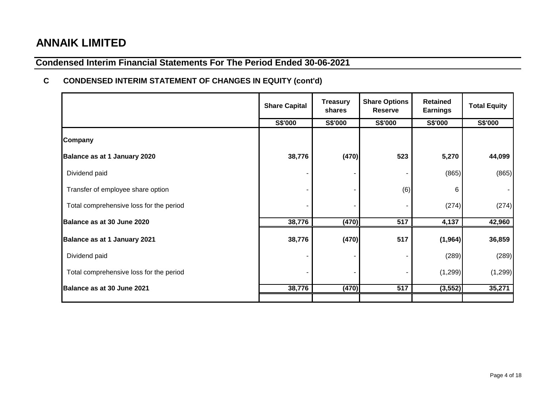# **Condensed Interim Financial Statements For The Period Ended 30-06-2021**

## **C CONDENSED INTERIM STATEMENT OF CHANGES IN EQUITY (cont'd)**

|                                         | <b>Share Capital</b> | <b>Treasury</b><br>shares | <b>Share Options</b><br><b>Reserve</b> | <b>Retained</b><br><b>Earnings</b> | <b>Total Equity</b> |  |
|-----------------------------------------|----------------------|---------------------------|----------------------------------------|------------------------------------|---------------------|--|
|                                         | S\$'000              | S\$'000                   | S\$'000                                | S\$'000                            | S\$'000             |  |
| Company                                 |                      |                           |                                        |                                    |                     |  |
| Balance as at 1 January 2020            | 38,776               | (470)                     | 523                                    | 5,270                              | 44,099              |  |
| Dividend paid                           |                      |                           |                                        | (865)                              | (865)               |  |
| Transfer of employee share option       |                      |                           | (6)                                    | 6                                  |                     |  |
| Total comprehensive loss for the period |                      |                           |                                        | (274)                              | (274)               |  |
| Balance as at 30 June 2020              | 38,776               | (470)                     | 517                                    | 4,137                              | 42,960              |  |
| Balance as at 1 January 2021            | 38,776               | (470)                     | 517                                    | (1, 964)                           | 36,859              |  |
| Dividend paid                           |                      |                           |                                        | (289)                              | (289)               |  |
| Total comprehensive loss for the period |                      |                           |                                        | (1, 299)                           | (1, 299)            |  |
| Balance as at 30 June 2021              | 38,776               | (470)                     | 517                                    | (3, 552)                           | 35,271              |  |
|                                         |                      |                           |                                        |                                    |                     |  |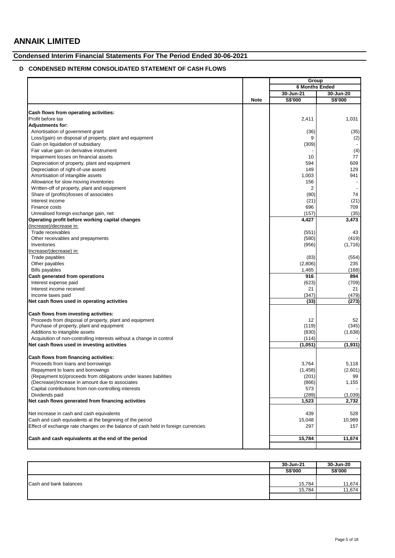## **Condensed Interim Financial Statements For The Period Ended 30-06-2021**

## **D CONDENSED INTERIM CONSOLIDATED STATEMENT OF CASH FLOWS**

|                                                                                   |             | Group                 |           |
|-----------------------------------------------------------------------------------|-------------|-----------------------|-----------|
|                                                                                   |             | <b>6 Months Ended</b> |           |
|                                                                                   |             | 30-Jun-21             | 30-Jun-20 |
|                                                                                   | <b>Note</b> | S\$'000               | S\$'000   |
|                                                                                   |             |                       |           |
| Cash flows from operating activities:                                             |             |                       |           |
| Profit before tax                                                                 |             | 2,411                 | 1,031     |
| <b>Adjustments for:</b>                                                           |             |                       |           |
| Amortisation of government grant                                                  |             | (36)                  | (35)      |
| Loss/(gain) on disposal of property, plant and equipment                          |             | 9                     | (2)       |
| Gain on liquidation of subsidiary                                                 |             | (309)                 |           |
| Fair value gain on derivative instrument                                          |             |                       | (4)       |
| Impairment losses on financial assets                                             |             | 10                    | 77        |
| Depreciation of property, plant and equipment                                     |             | 594                   | 609       |
| Depreciation of right-of-use assets                                               |             | 149                   | 129       |
| Amortisation of intangible assets                                                 |             | 1,003                 | 941       |
| Allowance for slow moving inventories                                             |             | 156                   |           |
| Written-off of property, plant and equipment                                      |             | 2                     |           |
| Share of (profits)/losses of associates                                           |             | (80)                  | 74        |
| Interest income                                                                   |             | (21)                  | (21)      |
| Finance costs                                                                     |             | 696                   | 709       |
| Unrealised foreign exchange gain, net                                             |             | (157)                 | (35)      |
| Operating profit before working capital changes                                   |             | 4,427                 | 3,473     |
| (Increase)/decrease in:                                                           |             |                       |           |
| Trade receivables                                                                 |             | (551)                 | 43        |
| Other receivables and prepayments                                                 |             | (580)                 | (419)     |
| Inventories                                                                       |             | (956)                 | (1,716)   |
| Increase/(decrease) in:                                                           |             |                       |           |
| Trade payables                                                                    |             | (83)                  | (554)     |
| Other payables                                                                    |             | (2,806)               | 235       |
| <b>Bills payables</b>                                                             |             | 1,465                 | (168)     |
| Cash generated from operations                                                    |             | 916                   | 894       |
| Interest expense paid                                                             |             | (623)                 | (709)     |
| Interest income received                                                          |             | 21                    | 21        |
| Income taxes paid                                                                 |             | (347)                 | (479)     |
| Net cash flows used in operating activities                                       |             | (33)                  | (273)     |
| Cash flows from investing activities:                                             |             |                       |           |
| Proceeds from disposal of property, plant and equipment                           |             | 12                    | 52        |
| Purchase of property, plant and equipment                                         |             | (119)                 | (345)     |
| Additions to intangible assets                                                    |             | (830)                 | (1,638)   |
| Acquisition of non-controlling interests without a change in control              |             | (114)                 |           |
| Net cash flows used in investing activities                                       |             | (1,051)               | (1, 931)  |
|                                                                                   |             |                       |           |
| Cash flows from financing activities:                                             |             |                       |           |
| Proceeds from loans and borrowings                                                |             | 3,764                 | 5,118     |
| Repayment to loans and borrowings                                                 |             | (1, 458)              | (2,601)   |
| (Repayment to)/proceeds from obligations under leases liabilities                 |             | (201)                 | 99        |
| (Decrease)/increase in amount due to associates                                   |             | (866)                 | 1,155     |
| Capital contributions from non-controlling interests                              |             | 573                   |           |
| Dividends paid                                                                    |             | (289)                 | (1,039)   |
| Net cash flows generated from financing activities                                |             | 1,523                 | 2,732     |
| Net increase in cash and cash equivalents                                         |             | 439                   | 528       |
| Cash and cash equivalents at the beginning of the period                          |             | 15,048                | 10,989    |
| Effect of exchange rate changes on the balance of cash held in foreign currencies |             | 297                   | 157       |
|                                                                                   |             |                       |           |
| Cash and cash equivalents at the end of the period                                |             | 15,784                | 11,674    |
|                                                                                   |             |                       |           |

|                        | 30-Jun-21 | 30-Jun-20 |
|------------------------|-----------|-----------|
|                        | S\$'000   | S\$'000   |
|                        |           |           |
| Cash and bank balances | 15,784    | 11,674    |
|                        | 15,784    | 11,674    |
|                        |           |           |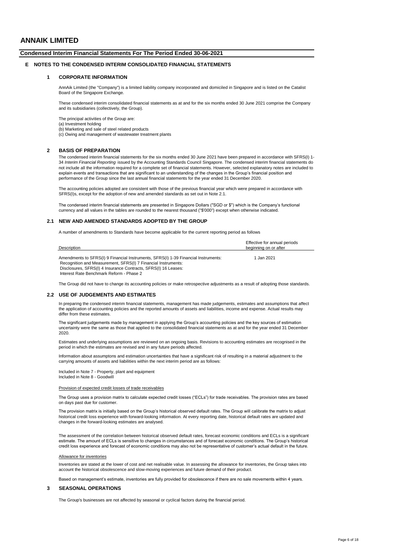## **Condensed Interim Financial Statements For The Period Ended 30-06-2021**

#### **E NOTES TO THE CONDENSED INTERIM CONSOLIDATED FINANCIAL STATEMENTS**

#### **1 CORPORATE INFORMATION**

AnnAik Limited (the "Company") is a limited liability company incorporated and domiciled in Singapore and is listed on the Catalist Board of the Singapore Exchange.

These condensed interim consolidated financial statements as at and for the six months ended 30 June 2021 comprise the Company and its subsidiaries (collectively, the Group).

The principal activities of the Group are: (a) Investment holding (b) Marketing and sale of steel related products

(c) Owing and management of wastewater treatment plants

#### **2 BASIS OF PREPARATION**

The condensed interim financial statements for the six months ended 30 June 2021 have been prepared in accordance with SFRS(I) 1- 34 *Interim Financial Reporting* issued by the Accounting Standards Council Singapore. The condensed interim financial statements do not include all the information required for a complete set of financial statements. However, selected explanatory notes are included to explain events and transactions that are significant to an understanding of the changes in the Group's financial position and performance of the Group since the last annual financial statements for the year ended 31 December 2020.

The accounting policies adopted are consistent with those of the previous financial year which were prepared in accordance with SFRS(I)s, except for the adoption of new and amended standards as set out in Note 2.1.

The condensed interim financial statements are presented in Singapore Dollars ("SGD or \$") which is the Company's functional currency and all values in the tables are rounded to the nearest thousand ("\$'000") except when otherwise indicated.

#### **2.1 NEW AND AMENDED STANDARDS ADOPTED BY THE GROUP**

A number of amendments to Standards have become applicable for the current reporting period as follows

| Description                                                                                                                                                                                                           | Effective for annual periods<br>beginning on or after |
|-----------------------------------------------------------------------------------------------------------------------------------------------------------------------------------------------------------------------|-------------------------------------------------------|
| Amendments to SFRS(I) 9 Financial Instruments, SFRS(I) 1-39 Financial Instruments:<br>Recognition and Measurement, SFRS(I) 7 Financial Instruments:<br>Disclosures, SFRS(I) 4 Insurance Contracts, SFRS(I) 16 Leases: | 1 Jan 2021                                            |

The Group did not have to change its accounting policies or make retrospective adjustments as a result of adopting those standards.

#### **2.2 USE OF JUDGEMENTS AND ESTIMATES**

Interest Rate Benchmark Reform - Phase 2

In preparing the condensed interim financial statements, management has made judgements, estimates and assumptions that affect the application of accounting policies and the reported amounts of assets and liabilities, income and expense. Actual results may differ from these estimates

The significant judgements made by management in applying the Group's accounting policies and the key sources of estimation uncertainty were the same as those that applied to the consolidated financial statements as at and for the year ended 31 December 2020.

Estimates and underlying assumptions are reviewed on an ongoing basis. Revisions to accounting estimates are recognised in the period in which the estimates are revised and in any future periods affected.

Information about assumptons and estimation uncertainties that have a significant risk of resulting in a material adjustment to the carrying amounts of assets and liabilities within the next interim period are as follows:

Included in Note 8 - Goodwill Included in Note 7 - Property, plant and equipment

#### Provision of expected credit losses of trade receivables

The Group uses a provision matrix to calculate expected credit losses ("ECLs") for trade receivables. The provision rates are based on days past due for customer.

The provision matrix is initially based on the Group's historical observed default rates. The Group will calibrate the matrix to adjust historical credit loss experience with forward-looking information. At every reporting date, historical default rates are updated and changes in the forward-looking estimates are analysed.

The assessment of the correlation between historical observed default rates, forecast economic conditions and ECLs is a significant estimate. The amount of ECLs is sensitive to changes in circumstances and of forecast economic conditions. The Group's historical credit loss experience and forecast of economic conditions may also not be representative of customer's actual default in the future.

#### Allowance for inventories

Inventories are stated at the lower of cost and net realisable value. In assessing the allowance for inventories, the Group takes into account the historical obsolescence and slow-moving experiences and future demand of their product.

Based on management's estimate, inventories are fully provided for obsolescence if there are no sale movements within 4 years.

#### **3 SEASONAL OPERATIONS**

The Group's businesses are not affected by seasonal or cyclical factors during the financial period.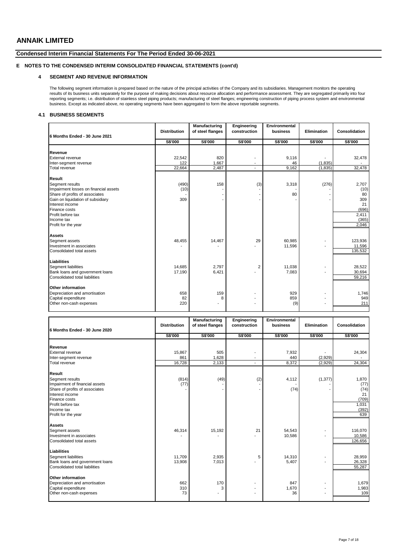### **Condensed Interim Financial Statements For The Period Ended 30-06-2021**

## **E NOTES TO THE CONDENSED INTERIM CONSOLIDATED FINANCIAL STATEMENTS (cont'd)**

### **4 SEGMENT AND REVENUE INFORMATION**

The following segment information is prepared based on the nature of the principal activities of the Company and its subsidiaries. Management monitors the operating<br>results of its business units separately for the purpose reporting segments; i.e. distribution of stainless steel piping products; manufacturing of steel flanges; engineering construction of piping process system and environmental business. Except as indicated above, no operating segments have been aggregated to form the above reportable segments.

### **4.1 BUSINESS SEGMENTS**

| 6 Months Ended - 30 June 2021              | <b>Distribution</b> | Manufacturing<br>of steel flanges | Engineering<br>construction | Environmental<br>business | Elimination | Consolidation     |
|--------------------------------------------|---------------------|-----------------------------------|-----------------------------|---------------------------|-------------|-------------------|
|                                            | S\$'000             | S\$'000                           | S\$'000                     | S\$'000                   | S\$'000     | S\$'000           |
|                                            |                     |                                   |                             |                           |             |                   |
| Revenue                                    |                     |                                   |                             |                           |             |                   |
| External revenue                           | 22,542              | 820                               |                             | 9,116                     |             | 32,478            |
| Inter-segment revenue                      | 122                 | 1,667                             |                             | 46                        | (1, 835)    |                   |
| Total revenue                              | 22,664              | 2,487                             | $\overline{\phantom{a}}$    | 9,162                     | (1, 835)    | 32,478            |
| Result                                     |                     |                                   |                             |                           |             |                   |
| Segment results                            | (490)               | 158                               | (3)                         | 3,318                     | (276)       | 2,707             |
| Impairment losses on financial assets      | (10)                |                                   |                             |                           |             | (10)              |
| Share of profits of associates             |                     |                                   |                             | 80                        |             | 80                |
| Gain on liquidation of subsidiary          | 309                 |                                   |                             |                           |             | 309               |
| Interest income                            |                     |                                   |                             |                           |             | 21                |
| Finance costs                              |                     |                                   |                             |                           |             | (696)             |
| Profit before tax                          |                     |                                   |                             |                           |             | 2,411             |
| Income tax                                 |                     |                                   |                             |                           |             | (365)             |
| Profit for the year                        |                     |                                   |                             |                           |             | 2,046             |
| <b>Assets</b>                              |                     |                                   |                             |                           |             |                   |
|                                            |                     |                                   |                             |                           |             |                   |
| Segment assets<br>Investment in associates | 48,455              | 14,467                            | 29                          | 60,985<br>11,596          |             | 123,936           |
| Consolidated total assets                  |                     |                                   |                             |                           |             | 11,596<br>135,532 |
|                                            |                     |                                   |                             |                           |             |                   |
| Liabilities                                |                     |                                   |                             |                           |             |                   |
| Segment liabilities                        | 14,685              | 2.797                             | 2                           | 11,038                    |             | 28,522            |
| Bank loans and government loans            | 17,190              | 6,421                             |                             | 7,083                     |             | 30,694            |
| Consolidated total liabilities             |                     |                                   |                             |                           |             | 59,216            |
| Other information                          |                     |                                   |                             |                           |             |                   |
| Depreciation and amortisation              | 658                 | 159                               |                             | 929                       |             | 1,746             |
| Capital expenditure                        | 82                  | 8                                 |                             | 859                       |             | 949               |
| Other non-cash expenses                    | 220                 | ۰                                 |                             | (9)                       |             | 211               |
|                                            |                     |                                   |                             |                           |             |                   |
|                                            |                     |                                   |                             |                           |             |                   |

|                                 | <b>Distribution</b> | Manufacturing<br>of steel flanges | Engineering<br>construction | Environmental<br>business | Elimination | Consolidation |
|---------------------------------|---------------------|-----------------------------------|-----------------------------|---------------------------|-------------|---------------|
| 6 Months Ended - 30 June 2020   |                     |                                   |                             |                           |             |               |
|                                 | S\$'000             | S\$'000                           | S\$'000                     | S\$'000                   | S\$'000     | S\$'000       |
|                                 |                     |                                   |                             |                           |             |               |
| Revenue                         |                     |                                   |                             |                           |             |               |
| <b>External revenue</b>         | 15,867              | 505                               |                             | 7,932                     |             | 24,304        |
| Inter-segment revenue           | 861                 | 1,628                             |                             | 440                       | (2,929)     |               |
| Total revenue                   | 16,728              | 2,133                             | $\overline{a}$              | 8,372                     | (2,929)     | 24,304        |
| <b>Result</b>                   |                     |                                   |                             |                           |             |               |
| Segment results                 | (814)               | (49)                              | (2)                         | 4,112                     | (1, 377)    | 1,870         |
| Impairment of financial assets  | (77)                |                                   |                             |                           |             | (77)          |
| Share of profits of associates  |                     |                                   |                             | (74)                      |             | (74)          |
| Interest income                 |                     |                                   |                             |                           |             | 21            |
| Finance costs                   |                     |                                   |                             |                           |             | (709)         |
| Profit before tax               |                     |                                   |                             |                           |             | 1,031         |
| Income tax                      |                     |                                   |                             |                           |             | (392)         |
| Profit for the year             |                     |                                   |                             |                           |             | 639           |
| <b>Assets</b>                   |                     |                                   |                             |                           |             |               |
| Segment assets                  | 46,314              | 15,192                            | 21                          | 54,543                    |             | 116,070       |
| Investment in associates        |                     |                                   |                             | 10,586                    |             | 10,586        |
| Consolidated total assets       |                     |                                   |                             |                           |             | 126,656       |
| <b>Liabilities</b>              |                     |                                   |                             |                           |             |               |
| Segment liabilities             | 11.709              | 2,935                             | 5                           | 14,310                    |             | 28,959        |
| Bank loans and government loans | 13,908              | 7,013                             |                             | 5,407                     |             | 26,328        |
| Consolidated total liabilities  |                     |                                   |                             |                           |             | 55,287        |
|                                 |                     |                                   |                             |                           |             |               |
| Other information               |                     |                                   |                             |                           |             |               |
| Depreciation and amortisation   | 662                 | 170                               |                             | 847                       |             | 1,679         |
| Capital expenditure             | 310                 | 3                                 |                             | 1,670                     |             | 1,983         |
| Other non-cash expenses         | 73                  |                                   |                             | 36                        |             | 109           |
|                                 |                     |                                   |                             |                           |             |               |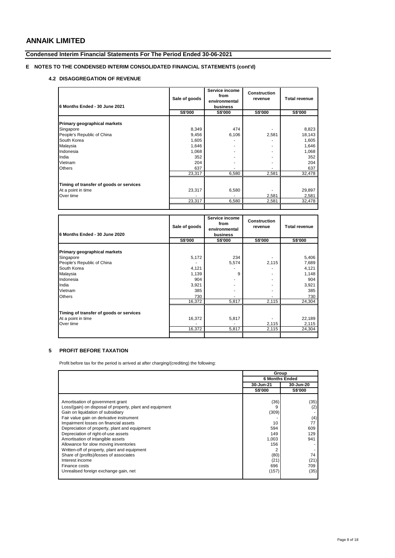## **Condensed Interim Financial Statements For The Period Ended 30-06-2021**

## **E NOTES TO THE CONDENSED INTERIM CONSOLIDATED FINANCIAL STATEMENTS (cont'd)**

### **4.2 DISAGGREGATION OF REVENUE**

| 6 Months Ended - 30 June 2021           | Sale of goods | Service income<br>from<br>environmental<br>business | <b>Construction</b><br>revenue | <b>Total revenue</b> |
|-----------------------------------------|---------------|-----------------------------------------------------|--------------------------------|----------------------|
|                                         | S\$'000       | <b>S\$'000</b>                                      | <b>S\$'000</b>                 | <b>S\$'000</b>       |
| Primary geographical markets            |               |                                                     |                                |                      |
| Singapore                               | 8,349         | 474                                                 |                                | 8,823                |
| People's Republic of China              | 9,456         | 6,106                                               | 2,581                          | 18,143               |
| South Korea                             | 1,605         |                                                     |                                | 1,605                |
| Malaysia                                | 1,646         |                                                     |                                | 1,646                |
| Indonesia                               | 1,068         |                                                     |                                | 1,068                |
| India                                   | 352           |                                                     | ۰                              | 352                  |
| Vietnam                                 | 204           |                                                     | ۰                              | 204                  |
| <b>Others</b>                           | 637           |                                                     |                                | 637                  |
|                                         | 23,317        | 6,580                                               | 2,581                          | 32,478               |
| Timing of transfer of goods or services |               |                                                     |                                |                      |
| At a point in time                      | 23,317        | 6,580                                               |                                | 29,897               |
| Over time                               |               |                                                     | 2,581                          | 2,581                |
|                                         | 23,317        | 6,580                                               | 2,581                          | 32,478               |
|                                         |               |                                                     |                                |                      |

| 6 Months Ended - 30 June 2020           | Sale of goods | Service income<br>from<br>environmental<br>business | <b>Construction</b><br>revenue | <b>Total revenue</b> |
|-----------------------------------------|---------------|-----------------------------------------------------|--------------------------------|----------------------|
|                                         | S\$'000       | <b>S\$'000</b>                                      | S\$'000                        | <b>S\$'000</b>       |
| Primary geographical markets            |               |                                                     |                                |                      |
| Singapore                               | 5,172         | 234                                                 |                                | 5,406                |
| People's Republic of China              |               | 5,574                                               | 2,115                          | 7,689                |
| South Korea                             | 4,121         |                                                     |                                | 4,121                |
| Malaysia                                | 1,139         | 9                                                   |                                | 1,148                |
| Indonesia                               | 904           |                                                     | ۰                              | 904                  |
| India                                   | 3,921         |                                                     |                                | 3,921                |
| Vietnam                                 | 385           |                                                     |                                | 385                  |
| <b>Others</b>                           | 730           |                                                     |                                | 730                  |
|                                         | 16,372        | 5,817                                               | 2,115                          | 24,304               |
| Timing of transfer of goods or services |               |                                                     |                                |                      |
| At a point in time                      | 16,372        | 5,817                                               |                                | 22,189               |
| Over time                               |               |                                                     | 2,115                          | 2,115                |
|                                         | 16,372        | 5,817                                               | 2,115                          | 24,304               |
|                                         |               |                                                     |                                |                      |

## **5 PROFIT BEFORE TAXATION**

Profit before tax for the period is arrived at after charging/(crediting) the following:

|                                                          | Group                 |                |  |
|----------------------------------------------------------|-----------------------|----------------|--|
|                                                          | <b>6 Months Ended</b> |                |  |
|                                                          | 30-Jun-21             | 30-Jun-20      |  |
|                                                          | <b>S\$'000</b>        | <b>S\$'000</b> |  |
|                                                          |                       |                |  |
| Amortisation of government grant                         | (36)                  | (35)           |  |
| Loss/(gain) on disposal of property, plant and equipment |                       | (2)            |  |
| Gain on liquidation of subsidiary                        | (309)                 |                |  |
| Fair value gain on derivative instrument                 |                       | (4)            |  |
| Impairment losses on financial assets                    | 10                    | 77             |  |
| Depreciation of property, plant and equipment            | 594                   | 609            |  |
| Depreciation of right-of-use assets                      | 149                   | 129            |  |
| Amortisation of intangible assets                        | 1,003                 | 941            |  |
| Allowance for slow moving inventories                    | 156                   |                |  |
| Written-off of property, plant and equipment             |                       |                |  |
| Share of (profits)/losses of associates                  | (80)                  | 74             |  |
| Interest income                                          | (21)                  | (21)           |  |
| Finance costs                                            | 696                   | 709            |  |
| Unrealised foreign exchange gain, net                    | (157)                 | (35)           |  |
|                                                          |                       |                |  |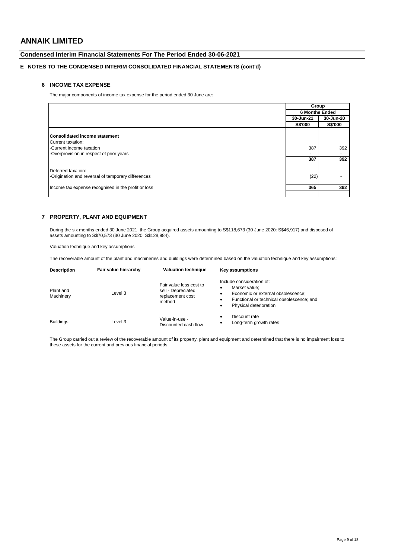## **Condensed Interim Financial Statements For The Period Ended 30-06-2021**

## **E NOTES TO THE CONDENSED INTERIM CONSOLIDATED FINANCIAL STATEMENTS (cont'd)**

## **6 INCOME TAX EXPENSE**

The major components of income tax expense for the period ended 30 June are:

|                                                     | Group                 |                          |
|-----------------------------------------------------|-----------------------|--------------------------|
|                                                     | <b>6 Months Ended</b> |                          |
|                                                     | 30-Jun-21             | 30-Jun-20                |
|                                                     | S\$'000               | S\$'000                  |
|                                                     |                       |                          |
| <b>Consolidated income statement</b>                |                       |                          |
| Current taxation:                                   |                       |                          |
| -Current income taxation                            | 387                   | 392                      |
| -Overprovision in respect of prior years            |                       | $\overline{\phantom{0}}$ |
|                                                     | 387                   | 392                      |
|                                                     |                       |                          |
| Deferred taxation:                                  |                       |                          |
| -Origination and reversal of temporary differences  | (22)                  |                          |
| Income tax expense recognised in the profit or loss | 365                   | 392                      |
|                                                     |                       |                          |

## **7 PROPERTY, PLANT AND EQUIPMENT**

During the six months ended 30 June 2021, the Group acquired assets amounting to S\$118,673 (30 June 2020: S\$46,917) and disposed of assets amounting to S\$70,573 (30 June 2020: S\$128,984).

Valuation technique and key assumptions

The recoverable amount of the plant and machineries and buildings were determined based on the valuation technique and key assumptions:

| <b>Description</b>     | Fair value hierarchy | <b>Valuation technique</b>                                                  | <b>Key assumptions</b>                                                                                                                                                      |
|------------------------|----------------------|-----------------------------------------------------------------------------|-----------------------------------------------------------------------------------------------------------------------------------------------------------------------------|
| Plant and<br>Machinery | Level 3              | Fair value less cost to<br>sell - Depreciated<br>replacement cost<br>method | Include consideration of:<br>Market value:<br>٠<br>Economic or external obsolescence;<br>٠<br>Functional or technical obsolescence; and<br>٠<br>Physical deterioration<br>٠ |
| <b>Buildings</b>       | Level 3              | Value-in-use -<br>Discounted cash flow                                      | Discount rate<br>٠<br>Long-term growth rates<br>٠                                                                                                                           |

The Group carried out a review of the recoverable amount of its property, plant and equipment and determined that there is no impairment loss to these assets for the current and previous financial periods.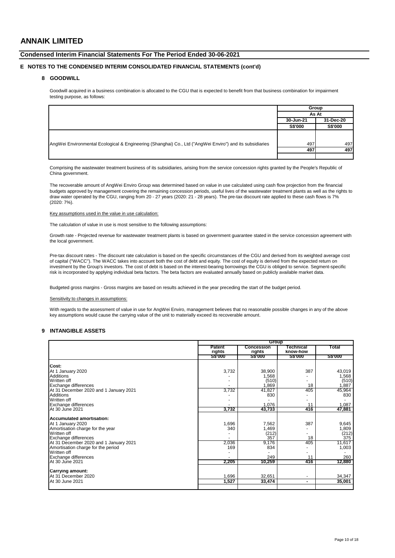## **Condensed Interim Financial Statements For The Period Ended 30-06-2021**

### **E NOTES TO THE CONDENSED INTERIM CONSOLIDATED FINANCIAL STATEMENTS (cont'd)**

### **8 GOODWILL**

Goodwill acquired in a business combination is allocated to the CGU that is expected to benefit from that business combination for impairment testing purpose, as follows:

|                                                                                                          | Group          |           |
|----------------------------------------------------------------------------------------------------------|----------------|-----------|
|                                                                                                          | As At          |           |
|                                                                                                          | 30-Jun-21      | 31-Dec-20 |
|                                                                                                          | <b>S\$'000</b> | S\$'000   |
|                                                                                                          |                |           |
| AngWei Environmental Ecological & Engineering (Shanghai) Co., Ltd ("AngWei Enviro") and its subsidiaries | 497            | 497       |
|                                                                                                          | 497            | 497       |
|                                                                                                          |                |           |

Comprising the wastewater treatment business of its subsidiaries, arising from the service concession rights granted by the People's Republic of China government.

The recoverable amount of AngWei Enviro Group was determined based on value in use calculated using cash flow projection from the financial budgets approved by management covering the remaining concession periods, useful lives of the wastewater treatment plants as well as the rights to draw water operated by the CGU, ranging from 20 - 27 years (2020: 21 - 28 years). The pre-tax discount rate applied to these cash flows is 7% (2020: 7%).

#### Key assumptions used in the value in use calculation:

The calculation of value in use is most sensitive to the following assumptions:

Growth rate - Projected revenue for wastewater treatment plants is based on government guarantee stated in the service concession agreement with the local government.

Pre-tax discount rates - The discount rate calculation is based on the specific circumstances of the CGU and derived from its weighted average cost of capital ("WACC"). The WACC takes into account both the cost of debt and equity. The cost of equity is derived from the expected return on investment by the Group's investors. The cost of debt is based on the interest-bearing borrowings the CGU is obliged to service. Segment-specific risk is incorporated by applying individual beta factors. The beta factors are evaluated annually based on publicly available market data.

Budgeted gross margins - Gross margins are based on results achieved in the year preceding the start of the budget period.

#### Sensitivity to changes in assumptions:

With regards to the assessment of value in use for AngWei Enviro, management believes that no reasonable possible changes in any of the above key assumptions would cause the carrying value of the unit to materially exceed its recoverable amount.

#### **9 INTANGIBLE ASSETS**

|                                        |                          | <b>Group</b>                |                      |                |
|----------------------------------------|--------------------------|-----------------------------|----------------------|----------------|
|                                        | <b>Patent</b><br>rights  | <b>Concession</b><br>rights | echnical<br>know-how | Total          |
|                                        | <b>S\$'000</b>           | <b>S\$'000</b>              | 22.000               | <b>S\$'000</b> |
| Cost:                                  |                          |                             |                      |                |
| At 1 January 2020                      | 3,732                    | 38,900                      | 387                  | 43,019         |
| <b>Additions</b>                       |                          | 1,568                       |                      | 1,568          |
| Written off                            | $\overline{\phantom{0}}$ | (510)                       |                      | (510)          |
| Exchange differences                   |                          | 1,869                       | 18                   | 1,887          |
| At 31 December 2020 and 1 January 2021 | 3,732                    | 41,827                      | 405                  | 45,964         |
| Additions                              |                          | 830                         |                      | 830            |
| Written off                            |                          |                             |                      |                |
| Exchange differences                   |                          | 1.076                       | 11                   | 1,087          |
| At 30 June 2021                        | 3,732                    | 43,733                      | 416                  | 47,881         |
| Accumulated amortisation:              |                          |                             |                      |                |
| At 1 January 2020                      | 1,696                    | 7,562                       | 387                  | 9,645          |
| Amortisation charge for the year       | 340                      | 1,469                       |                      | 1,809          |
| Written off                            |                          | (212)                       |                      | (212)          |
| <b>Exchange differences</b>            |                          | 357                         | 18                   | 375            |
| At 31 December 2020 and 1 January 2021 | 2,036                    | 9,176                       | 405                  | 11,617         |
| Amortisation charge for the period     | 169                      | 834                         |                      | 1,003          |
| Written off                            | ٠                        |                             | ٠                    |                |
| <b>Exchange differences</b>            |                          | 249                         | 11                   | 260            |
| At 30 June 2021                        | 2,205                    | 10,259                      | 416                  | 12,880         |
| <b>Carrying amount:</b>                |                          |                             |                      |                |
| At 31 December 2020                    | 1,696                    | 32,651                      | $\blacksquare$       | 34,347         |
| At 30 June 2021                        | 1,527                    | 33,474                      | ۰.                   | 35,001         |
|                                        |                          |                             |                      |                |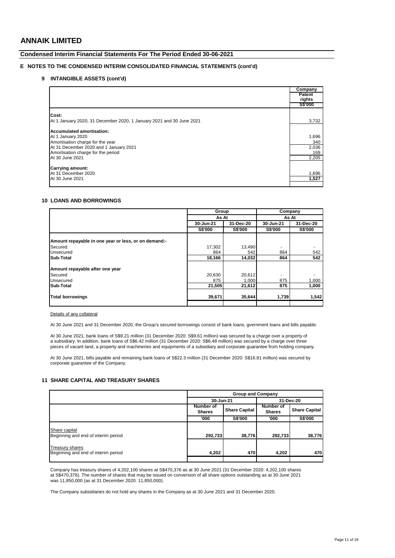### **Condensed Interim Financial Statements For The Period Ended 30-06-2021**

## **E NOTES TO THE CONDENSED INTERIM CONSOLIDATED FINANCIAL STATEMENTS (cont'd)**

### **9 INTANGIBLE ASSETS (cont'd)**

|                                                                      | Company<br>Patent<br>rights |
|----------------------------------------------------------------------|-----------------------------|
|                                                                      | <b>S\$'000</b>              |
| Cost:                                                                |                             |
|                                                                      |                             |
| At 1 January 2020, 31 December 2020, 1 January 2021 and 30 June 2021 | 3,732                       |
| Accumulated amortisation:                                            |                             |
| At 1 January 2020                                                    | 1,696                       |
| Amortisation charge for the year                                     | 340                         |
| At 31 December 2020 and 1 January 2021                               | 2,036                       |
| Amortisation charge for the period                                   | 169                         |
| At 30 June 2021                                                      | 2,205                       |
|                                                                      |                             |
| <b>Carrying amount:</b>                                              |                             |
| At 31 December 2020                                                  | 1,696                       |
| At 30 June 2021                                                      | 1,527                       |
|                                                                      |                             |

### **10 LOANS AND BORROWINGS**

|                                                      |                | Group          |                | Company   |
|------------------------------------------------------|----------------|----------------|----------------|-----------|
|                                                      | As At          |                | As At          |           |
|                                                      | 30-Jun-21      | 31-Dec-20      | 30-Jun-21      | 31-Dec-20 |
|                                                      | <b>S\$'000</b> | <b>S\$'000</b> | <b>S\$'000</b> | S\$'000   |
|                                                      |                |                |                |           |
| Amount repayable in one year or less, or on demand:- |                |                |                |           |
| Secured                                              | 17,302         | 13,490         |                |           |
| <b>Unsecured</b>                                     | 864            | 542            | 864            | 542       |
| Sub-Total                                            | 18,166         | 14,032         | 864            | 542       |
| Amount repayable after one year                      |                |                |                |           |
| Secured                                              | 20,630         | 20,612         |                |           |
| Unsecured                                            | 875            | 1,000          | 875            | 1,000     |
| Sub-Total                                            | 21,505         | 21,612         | 875            | 1,000     |
| <b>Total borrowings</b>                              | 39,671         | 35,644         | 1,739          | 1,542     |
|                                                      |                |                |                |           |

Details of any collateral

At 30 June 2021 and 31 December 2020, the Group's secured borrowings consist of bank loans, gvernment loans and bills payable.

At 30 June 2021, bank loans of S\$9.21 million (31 December 2020: S\$9.61 million) was secured by a charge over a property of a subsidiary. In addition, bank loans of S\$6.42 million (31 December 2020: S\$6.48 million) was secured by a charge over three pieces of vacant land, a property and machineries and equipments of a subsidiary and corporate guarantee from holding company.

At 30 June 2021, bills payable and remaining bank loans of S\$22.3 million (31 December 2020: S\$16.81 million) was secured by corporate guarantee of the Company.

### **11 SHARE CAPITAL AND TREASURY SHARES**

|                                                        | <b>Group and Company</b>                           |                |                            |                      |
|--------------------------------------------------------|----------------------------------------------------|----------------|----------------------------|----------------------|
|                                                        | 30-Jun-21                                          |                | 31-Dec-20                  |                      |
|                                                        | Number of<br><b>Share Capital</b><br><b>Shares</b> |                | Number of<br><b>Shares</b> | <b>Share Capital</b> |
|                                                        | '000                                               | <b>S\$'000</b> | '000                       | <b>S\$'000</b>       |
| Share capital<br>Beginning and end of interim period   | 292,733                                            | 38,776         | 292,733                    | 38,776               |
| Treasury shares<br>Beginning and end of interim period | 4,202                                              | 470            | 4,202                      | 470                  |
|                                                        |                                                    |                |                            |                      |

Company has treasury shares of 4,202,100 shares at S\$470,376 as at 30 June 2021 (31 December 2020: 4,202,100 shares at S\$470,376). The number of shares that may be issued on conversion of all share options outstanding as at 30 June 2021 was 11,850,000 (as at 31 December 2020: 11,850,000).

The Company subsidiaries do not hold any shares in the Company as at 30 June 2021 and 31 December 2020.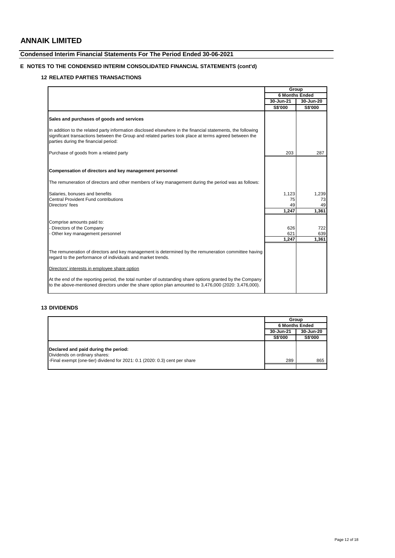## **Condensed Interim Financial Statements For The Period Ended 30-06-2021**

## **E NOTES TO THE CONDENSED INTERIM CONSOLIDATED FINANCIAL STATEMENTS (cont'd)**

## **12 RELATED PARTIES TRANSACTIONS**

|                                                                                                                                                                                                                                                              | Group                 |           |
|--------------------------------------------------------------------------------------------------------------------------------------------------------------------------------------------------------------------------------------------------------------|-----------------------|-----------|
|                                                                                                                                                                                                                                                              | <b>6 Months Ended</b> |           |
|                                                                                                                                                                                                                                                              | 30-Jun-21             | 30-Jun-20 |
|                                                                                                                                                                                                                                                              | S\$'000               | S\$'000   |
| Sales and purchases of goods and services                                                                                                                                                                                                                    |                       |           |
| In addition to the related party information disclosed elsewhere in the financial statements, the following<br>significant transactions between the Group and related parties took place at terms agreed between the<br>parties during the financial period: |                       |           |
| Purchase of goods from a related party                                                                                                                                                                                                                       | 203                   | 287       |
| Compensation of directors and key management personnel                                                                                                                                                                                                       |                       |           |
| The remuneration of directors and other members of key management during the period was as follows:                                                                                                                                                          |                       |           |
| Salaries, bonuses and benefits                                                                                                                                                                                                                               | 1,123                 | 1,239     |
| Central Provident Fund contributions                                                                                                                                                                                                                         | 75                    | 73        |
| Directors' fees                                                                                                                                                                                                                                              | 49                    | 49        |
|                                                                                                                                                                                                                                                              | 1,247                 | 1,361     |
| Comprise amounts paid to:                                                                                                                                                                                                                                    |                       |           |
| - Directors of the Company                                                                                                                                                                                                                                   | 626                   | 722       |
| - Other key management personnel                                                                                                                                                                                                                             | 621                   | 639       |
|                                                                                                                                                                                                                                                              | 1.247                 | 1,361     |
| The remuneration of directors and key management is determined by the remuneration committee having<br>regard to the performance of individuals and market trends.                                                                                           |                       |           |
| Directors' interests in employee share option                                                                                                                                                                                                                |                       |           |
| At the end of the reporting period, the total number of outstanding share options granted by the Company<br>to the above-mentioned directors under the share option plan amounted to 3,476,000 (2020: 3,476,000).                                            |                       |           |

## **13 DIVIDENDS**

|                                                                                                                                                     | Group                 |                |
|-----------------------------------------------------------------------------------------------------------------------------------------------------|-----------------------|----------------|
|                                                                                                                                                     | <b>6 Months Ended</b> |                |
|                                                                                                                                                     | 30-Jun-21             | 30-Jun-20      |
|                                                                                                                                                     | <b>S\$'000</b>        | <b>S\$'000</b> |
| Declared and paid during the period:<br>Dividends on ordinary shares:<br>-Final exempt (one-tier) dividend for 2021: 0.1 (2020: 0.3) cent per share | 289                   | 865            |
|                                                                                                                                                     |                       |                |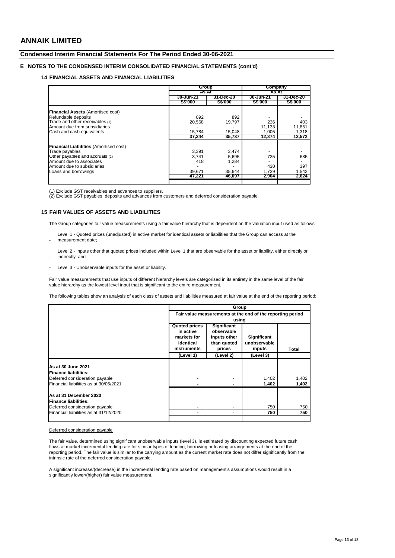-

## **Condensed Interim Financial Statements For The Period Ended 30-06-2021**

## **E NOTES TO THE CONDENSED INTERIM CONSOLIDATED FINANCIAL STATEMENTS (cont'd)**

### **14 FINANCIAL ASSETS AND FINANCIAL LIABILITIES**

|                                               |               | Group          |               | Company        |
|-----------------------------------------------|---------------|----------------|---------------|----------------|
|                                               | As At         |                | As At         |                |
|                                               | 30-Jun-21     | 31-Dec-20      | 30-Jun-21     | 31-Dec-20      |
|                                               | <b>SS'000</b> | <b>S\$'000</b> | <b>SS'000</b> | <b>S\$'000</b> |
| Financial Assets (Amortised cost)             |               |                |               |                |
| Refundable deposits                           | 892           | 892            |               |                |
| Trade and other receivables (1)               | 20,568        | 19,797         | 236           | 403            |
| Amount due from subsidiaries                  |               |                | 11,133        | 11,851         |
| Cash and cash equivalents                     | 15.784        | 15.048         | 1.005         | 1,318          |
|                                               | 37.244        | 35,737         | 12,374        | 13,572         |
| <b>Financial Liabilities (Amortised cost)</b> |               |                |               |                |
| Trade payables                                | 3.391         | 3,474          |               |                |
| Other payables and accruals (2)               | 3,741         | 5,695          | 735           | 685            |
| Amount due to associates                      | 418           | 1,284          |               |                |
| Amount due to subsidiaries                    |               |                | 430           | 397            |
| Loans and borrowings                          | 39.671        | 35.644         | 1.739         | 1.542          |
|                                               | 47,221        | 46,097         | 2,904         | 2,624          |
|                                               |               |                |               |                |

(1) Exclude GST receivables and advances to suppliers. (2) Exclude GST payables, deposits and advances from customers and deferred consideration payable.

#### **15 FAIR VALUES OF ASSETS AND LIABILITIES**

The Group categories fair value measurements using a fair value hierarchy that is dependent on the valuation input used as follows:

- Level 1 - Quoted prices (unadjusted) in active market for identical assets or liabilities that the Group can access at the measurement date;

Level 2 - Inputs other that quoted prices included within Level 1 that are observable for the asset or liability, either directly or indirectly; and

Level 3 - Unobservable inputs for the asset or liability.

Fair value measurements that use inputs of different hierarchy levels are categorised in its entirety in the same level of the fair value hierarchy as the lowest level input that is significant to the entire measurement.

The following tables show an analysis of each class of assets and liabilities measured at fair value at the end of the reporting period:

|                                                                                         | Group                                                                        |                                                                                    |                                              |       |  |
|-----------------------------------------------------------------------------------------|------------------------------------------------------------------------------|------------------------------------------------------------------------------------|----------------------------------------------|-------|--|
|                                                                                         | Fair value measurements at the end of the reporting period                   |                                                                                    |                                              |       |  |
|                                                                                         | <b>Quoted prices</b><br>in active<br>markets for<br>identical<br>instruments | using<br><b>Significant</b><br>observable<br>inputs other<br>than quoted<br>prices | <b>Significant</b><br>unobservable<br>inputs | Total |  |
|                                                                                         | (Level 1)                                                                    | (Level 2)                                                                          | (Level 3)                                    |       |  |
| As at 30 June 2021<br><b>IFinance liabilities:</b><br>Deferred consideration payable    |                                                                              |                                                                                    | 1,402                                        | 1,402 |  |
| Financial liabilities as at 30/06/2021                                                  |                                                                              |                                                                                    | 1,402                                        | 1,402 |  |
| As at 31 December 2020<br><b>Finance liabilities:</b><br>Deferred consideration payable |                                                                              |                                                                                    | 750                                          | 750   |  |
| Financial liabilities as at 31/12/2020                                                  |                                                                              |                                                                                    | 750                                          | 750   |  |
|                                                                                         |                                                                              |                                                                                    |                                              |       |  |

#### Deferred consideration payable

The fair value, determined using significant unobservable inputs (level 3), is estimated by discounting expected future cash flows at market incremental lending rate for similar types of lending, borrowing or leasing arrangements at the end of the reporting period. The fair value is similar to the carrying amount as the current market rate does not differ significantly from the intrinsic rate of the deferred consideration payable.

A significant increase/(decrease) in the incremental lending rate based on management's assumptions would result in a significantly lower/(higher) fair value measurement.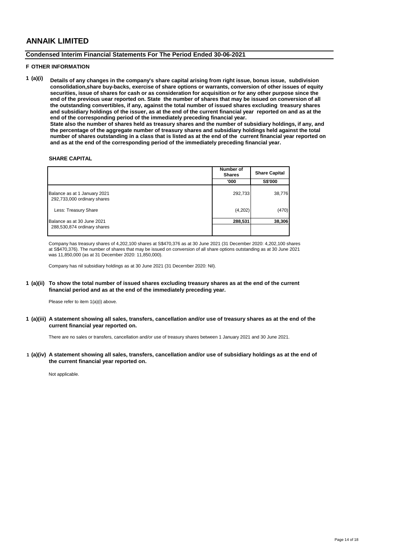## **Condensed Interim Financial Statements For The Period Ended 30-06-2021**

#### **F OTHER INFORMATION**

**1 (a)(i) Details of any changes in the company's share capital arising from right issue, bonus issue, subdivision consolidation,share buy-backs, exercise of share options or warrants, conversion of other issues of equity securities, issue of shares for cash or as consideration for acquisition or for any other purpose since the end of the previous uear reported on. State the number of shares that may be issued on conversion of all the outstanding convertibles, if any, against the total number of issued shares excluding treasury shares and subsidiary holdings of the issuer, as at the end of the current financial year reported on and as at the end of the corresponding period of the immediately preceding financial year. State also the number of shares held as treasury shares and the number of subsidiary holdings, if any, and the percentage of the aggregate number of treasury shares and subsidiary holdings held against the total number of shares outstanding in a class that is listed as at the end of the current financial year reported on and as at the end of the corresponding period of the immediately preceding financial year.**

### **SHARE CAPITAL**

|                                                             | Number of<br><b>Shares</b> | <b>Share Capital</b> |  |
|-------------------------------------------------------------|----------------------------|----------------------|--|
|                                                             | '000                       | S\$'000              |  |
| Balance as at 1 January 2021<br>292,733,000 ordinary shares | 292,733                    | 38,776               |  |
| Less: Treasury Share                                        | (4,202)                    | (470)                |  |
| Balance as at 30 June 2021<br>288,530,874 ordinary shares   | 288,531                    | 38,306               |  |

Company has treasury shares of 4,202,100 shares at S\$470,376 as at 30 June 2021 (31 December 2020: 4,202,100 shares at S\$470,376). The number of shares that may be issued on conversion of all share options outstanding as at 30 June 2021 was 11,850,000 (as at 31 December 2020: 11,850,000).

Company has nil subsidiary holdings as at 30 June 2021 (31 December 2020: Nil).

#### **1 (a)(ii) To show the total number of issued shares excluding treasury shares as at the end of the current financial period and as at the end of the immediately preceding year.**

Please refer to item 1(a)(i) above.

**1 (a)(iii) A statement showing all sales, transfers, cancellation and/or use of treasury shares as at the end of the current financial year reported on.**

There are no sales or transfers, cancellation and/or use of treasury shares between 1 January 2021 and 30 June 2021.

**1 (a)(iv) A statement showing all sales, transfers, cancellation and/or use of subsidiary holdings as at the end of the current financial year reported on.**

Not applicable.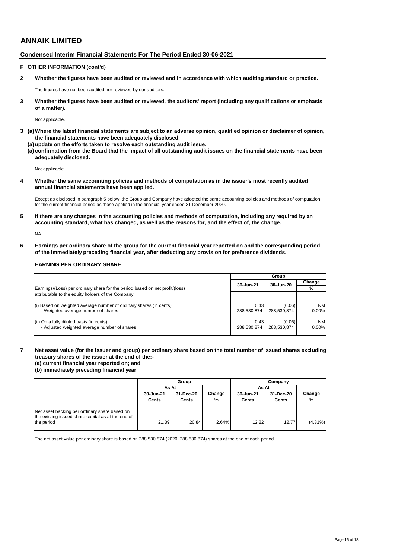### **Condensed Interim Financial Statements For The Period Ended 30-06-2021**

### **F OTHER INFORMATION (cont'd)**

**2 Whether the figures have been audited or reviewed and in accordance with which auditing standard or practice.**

The figures have not been audited nor reviewed by our auditors.

**3 Whether the figures have been audited or reviewed, the auditors' report (including any qualifications or emphasis of a matter).**

Not applicable.

**3 (a) Where the latest financial statements are subject to an adverse opinion, qualified opinion or disclaimer of opinion, the financial statements have been adequately disclosed.**

(a) update on the efforts taken to resolve each outstanding audit issue,

**(a)(ii) confirmation from the Board that the impact of all outstanding audit issues on the financial statements have been adequately disclosed.**

Not applicable.

**4 Whether the same accounting policies and methods of computation as in the issuer's most recently audited annual financial statements have been applied.**

Except as disclosed in paragraph 5 below, the Group and Company have adopted the same accounting policies and methods of computation for the current financial period as those applied in the financial year ended 31 December 2020.

**5 If there are any changes in the accounting policies and methods of computation, including any required by an accounting standard, what has changed, as well as the reasons for, and the effect of, the change.**

NA

**6 Earnings per ordinary share of the group for the current financial year reported on and the corresponding period of the immediately preceding financial year, after deducting any provision for preference dividends.**

### **EARNING PER ORDINARY SHARE**

|                                                                              | Group       |             |           |
|------------------------------------------------------------------------------|-------------|-------------|-----------|
|                                                                              | 30-Jun-21   | 30-Jun-20   | Change    |
| Earnings/(Loss) per ordinary share for the period based on net profit/(loss) |             |             | %         |
| attributable to the equity holders of the Company                            |             |             |           |
| (i) Based on weighted average number of ordinary shares (in cents)           | 0.43        | (0.06)      | <b>NM</b> |
| - Weighted average number of shares                                          | 288.530.874 | 288.530.874 | $0.00\%$  |
| (ii) On a fully diluted basis (in cents)                                     | 0.43        | (0.06)      | <b>NM</b> |
| - Adjusted weighted average number of shares                                 | 288.530.874 | 288.530.874 | $0.00\%$  |

### **7 Net asset value (for the issuer and group) per ordinary share based on the total number of issued shares excluding treasury shares of the issuer at the end of the:-**

**(a) current financial year reported on; and**

**(b) immediately preceding financial year**

|                                                                                                                   | Group     |           |        | Company   |           |            |
|-------------------------------------------------------------------------------------------------------------------|-----------|-----------|--------|-----------|-----------|------------|
|                                                                                                                   | As At     |           |        | As At     |           |            |
|                                                                                                                   | 30-Jun-21 | 31-Dec-20 | Change | 30-Jun-21 | 31-Dec-20 | Change     |
|                                                                                                                   | Cents     | Cents     | %      | Cents     | Cents     | %          |
| Net asset backing per ordinary share based on<br>the existing issued share capital as at the end of<br>the period | 21.39     | 20.84     | 2.64%  | 12.22     | 12.77     | $(4.31\%)$ |

The net asset value per ordinary share is based on 288,530,874 (2020: 288,530,874) shares at the end of each period.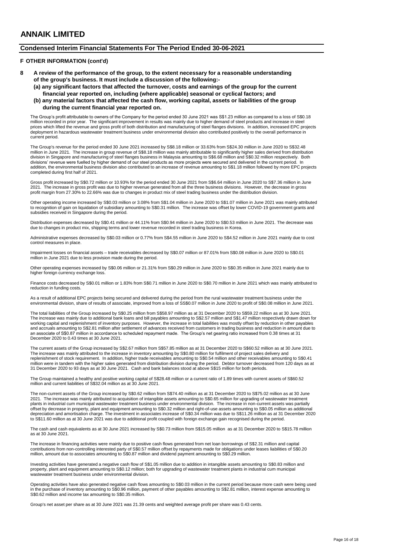### **Condensed Interim Financial Statements For The Period Ended 30-06-2021**

### **F OTHER INFORMATION (cont'd)**

- **8 A review of the performance of the group, to the extent necessary for a reasonable understanding of the group's business. It must include a discussion of the following:-**
	- **(a) any significant factors that affected the turnover, costs and earnings of the group for the current financial year reported on, including (where applicable) seasonal or cyclical factors; and (b) any material factors that affected the cash flow, working capital, assets or liabilities of the group**
	- **during the current financial year reported on.**

The Group's profit attributable to owners of the Company for the period ended 30 June 2021 was S\$1.23 million as compared to a loss of S\$0.18 million recorded in prior year. The significant improvement in results was mainly due to higher demand of steel products and increase in steel<br>prices which lifted the revenue and gross profit of both distribution and manu current period.

The Group's revenue for the period ended 30 June 2021 increased by S\$8.18 million or 33.63% from S\$24.30 million in June 2020 to S\$32.48 million in June 2021. The increase in group revenue of S\$8.18 million was mainly attributable to significantly higher sales derived from distribution<br>division in Singapore and manufacturing of steel flanges business in Mal divisions' revenue were fuelled by higher demand of our steel products as more projects were secured and delivered in the current period. In addition, the environmental business division also contributed to an increase of revenue amounting to S\$1.18 million followed by more EPC projects completed during first half of 2021.

Gross profit increased by S\$0.72 million or 10.93% for the period ended 30 June 2021 from S\$6.64 million in June 2020 to S\$7.36 million in June 2021. The increase in gross profit was due to higher revenue generated from all the three business divisions. However, the decrease in gross profit margin from 27.30% to 22.66% was due to changes in product mix of steel trading business under the distribution division.

Other operating income increased by S\$0.03 million or 3.08% from S\$1.04 million in June 2020 to S\$1.07 million in June 2021 was mainly attributed to recognition of gain on liquidation of subsidiary amounting to S\$0.31 million. The increase was offset by lower COVID-19 government grants and subsidies received in Singapore during the period.

Distribution expenses decreased by S\$0.41 million or 44.11% from S\$0.94 million in June 2020 to S\$0.53 million in June 2021. The decrease was due to changes in product mix, shipping terms and lower revenue recorded in steel trading business in Korea.

Administrative expenses decreased by S\$0.03 million or 0.77% from S\$4.55 million in June 2020 to S\$4.52 million in June 2021 mainly due to cost control measures in place.

Impairment losses on financial assets – trade receivables decreased by S\$0.07 million or 87.01% from S\$0.08 million in June 2020 to S\$0.01 million in June 2021 due to less provision made during the period.

Other operating expenses increased by S\$0.06 million or 21.31% from S\$0.29 million in June 2020 to S\$0.35 million in June 2021 mainly due to higher foreign currency exchange loss.

Finance costs decreased by S\$0.01 million or 1.83% from S\$0.71 million in June 2020 to S\$0.70 million in June 2021 which was mainly attributed to reduction in funding costs.

As a result of additional EPC projects being secured and delivered during the period from the rural wastewater treatment business under the environmental division, share of results of associate, improved from a loss of SS\$0.07 million in June 2020 to profit of S\$0.08 million in June 2021.

The total liabilities of the Group increased by S\$0.25 million from S\$58.97 million as at 31 December 2020 to S\$59.22 million as at 30 June 2021. The increase was mainly due to additional bank loans and bill payables amounting to S\$2.57 million and S\$1.47 million respectively drawn down for working capital and replenishment of inventory purposes. However, the increase in total liabilities was mostly offset by reduction in other payables and accruals amounting to S\$2.81 million after settlement of advances received from customers in trading business and reduction in amount due to<br>an associate of S\$0.87 million in accordance to scheduled repayment made. Th December 2020 to 0.43 times at 30 June 2021.

The current assets of the Group increased by S\$2.67 million from S\$57.85 million as at 31 December 2020 to S\$60.52 million as at 30 June 2021. The increase was mainly attributed to the increase in inventory amounting by S\$0.80 million for fulfilment of project sales delivery and replenishment of stock requirement. In addition, higher trade receivables amounting to S\$0.54 million and other receivables amounting to S\$0.41 million were in tandem with the higher sales generated from distribution division during the period. Debtor turnover decreased from 120 days as at<br>31 December 2020 to 93 days as at 30 June 2021. Cash and bank balances st

The Group maintained a healthy and positive working capital of S\$28.48 million or a current ratio of 1.89 times with current assets of S\$60.52 million and current liabilities of S\$32.04 million as at 30 June 2021.

The non-current assets of the Group increased by S\$0.62 million from S\$74.40 million as at 31 December 2020 to S\$75.02 million as at 30 June 2021. The increase was mainly attributed to acquisition of intangible assets amounting to S\$0.65 million for upgrading of wastewater treatment<br>plants in industrial cum municipal wastewater treatment business under environm offset by decrease in property, plant and equipment amounting to S\$0.32 million and right-of-use assets amounting to S\$0.05 million as additional depreciation and amortisation charge. The investment in associates increase of S\$0.34 million was due to S\$11.26 million as at 31 December 2020<br>to S\$11.60 million as at 30 June 2021 was due to additional profit coupled wit

The cash and cash equivalents as at 30 June 2021 increased by S\$0.73 million from S\$15.05 million as at 31 December 2020 to S\$15.78 million as at 30 June 2021.

The increase in financing activities were mainly due to positive cash flows generated from net loan borrowings of S\$2.31 million and capital contributions from non-controlling interested party of S\$0.57 million offset by repayments made for obligations under leases liabilities of S\$0.20 million, amount due to associates amounting to S\$0.87 million and dividend payment amounting to S\$0.29 million.

Investing activities have generated a negative cash flow of S\$1.05 million due to addition in intangible assets amounting to S\$0.83 million and<br>property, plant and equipment amounting to S\$0.12 million; both for upgrading wastewater treatment business under environmental division.

Operating activities have also generated negative cash flows amounting to S\$0.03 million in the current period because more cash were being used in the purchase of inventory amounting to S\$0.96 million, payment of other payables amounting to S\$2.81 million, interest expense amounting to S\$0.62 million and income tax amounting to S\$0.35 million.

Group's net asset per share as at 30 June 2021 was 21.39 cents and weighted average profit per share was 0.43 cents.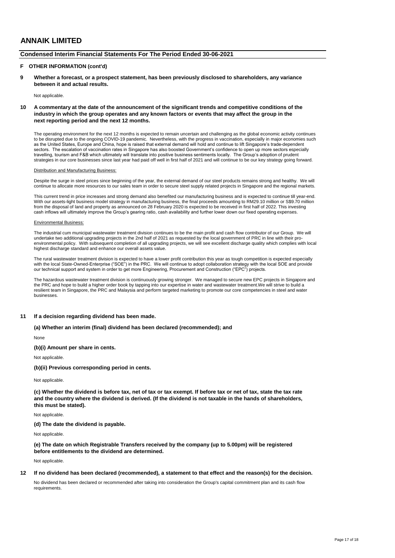### **Condensed Interim Financial Statements For The Period Ended 30-06-2021**

#### **F OTHER INFORMATION (cont'd)**

**9 Whether a forecast, or a prospect statement, has been previously disclosed to shareholders, any variance between it and actual results.**

Not applicable.

#### **10 A commentary at the date of the announcement of the significant trends and competitive conditions of the industry in which the group operates and any known factors or events that may affect the group in the next reporting period and the next 12 months.**

The operating environment for the next 12 months is expected to remain uncertain and challenging as the global economic activity continues to be disrupted due to the ongoing COVID-19 pandemic. Nevertheless, with the progress in vaccination, especially in major economies such as the United States, Europe and China, hope is raised that external demand will hold and continue to lift Singapore's trade-dependent sectors. The escalation of vaccination rates in Singapore has also boosted Government's confidence to open up more sectors especially travelling, tourism and F&B which ultimately will translate into positive business sentiments locally. The Group's adoption of prudent<br>strategies in our core businesses since last year had paid off well in first half of 2

#### Distribution and Manufacturing Business:

Despite the surge in steel prices since beginning of the year, the external demand of our steel products remains strong and healthy. We will continue to allocate more resources to our sales team in order to secure steel supply related projects in Singapore and the regional markets.

This current trend in price increases and strong demand also benefited our manufacturing business and is expected to continue till year-end. With our assets-light business model strategy in manufacturing business, the final proceeds amounting to RM29.10 million or S\$9.70 million from the disposal of land and property as announced on 28 February 2020 is expected to be received in first half of 2022. This investing cash inflows will ultimately improve the Group's gearing ratio, cash availability and further lower down our fixed operating expenses.

#### Environmental Business:

The industrial cum municipal wastewater treatment division continues to be the main profit and cash flow contributor of our Group. We will undertake two additional upgrading projects in the 2nd half of 2021 as requested by the local government of PRC in line with their proenvironmental policy. With subsequent completion of all upgrading projects, we will see excellent discharge quality which complies with local highest discharge standard and enhance our overall assets value.

The rural wastewater treatment division is expected to have a lower profit contribution this year as tough competition is expected especially<br>with the local State-Owned-Enterprise ("SOE") in the PRC. We will continue to ad our technical support and system in order to get more Engineering, Procurement and Construction ("EPC") projects.

The hazardous wastewater treatment division is continuously growing stronger. We managed to secure new EPC projects in Singapore and the PRC and hope to build a higher order book by tapping into our expertise in water and wastewater treatment.We will strive to build a resilient team in Singapore, the PRC and Malaysia and perform targeted marketing to promote our core competencies in steel and water businesses.

#### **11 If a decision regarding dividend has been made.**

**(a) Whether an interim (final) dividend has been declared (recommended); and**

None

**(b)(i) Amount per share in cents.**

Not applicable.

**(b)(ii) Previous corresponding period in cents.**

Not applicable.

**(c) Whether the dividend is before tax, net of tax or tax exempt. If before tax or net of tax, state the tax rate and the country where the dividend is derived. (If the dividend is not taxable in the hands of shareholders, this must be stated).**

Not applicable.

**(d) The date the dividend is payable.**

Not applicable.

**(e) The date on which Registrable Transfers received by the company (up to 5.00pm) will be registered before entitlements to the dividend are determined.**

Not applicable.

#### **12 If no dividend has been declared (recommended), a statement to that effect and the reason(s) for the decision.**

No dividend has been declared or recommended after taking into consideration the Group's capital commitment plan and its cash flow requirements.